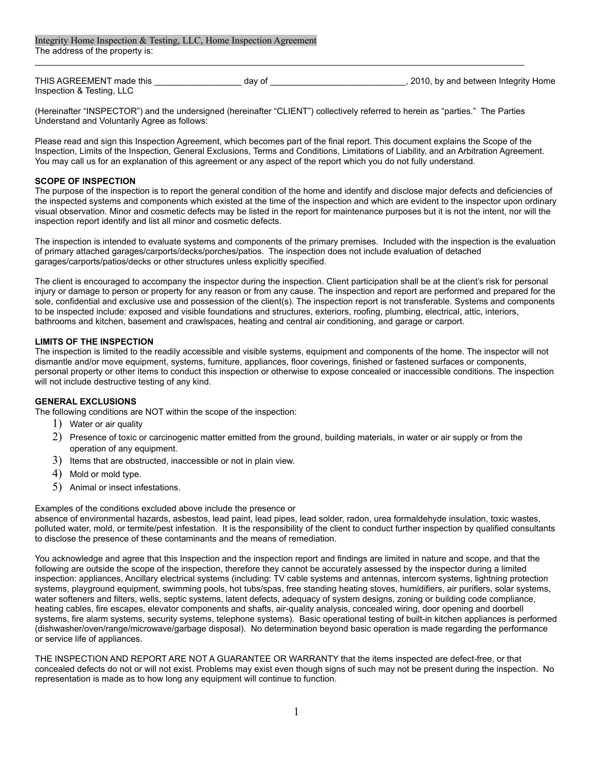Integrity Home Inspection & Testing, LLC, Home Inspection Agreement The address of the property is:

| THIS AGREEMENT made this  | dav of | , 2010, by and between Integrity Home |
|---------------------------|--------|---------------------------------------|
| Inspection & Testing, LLC |        |                                       |

(Hereinafter "INSPECTOR") and the undersigned (hereinafter "CLIENT") collectively referred to herein as "parties." The Parties Understand and Voluntarily Agree as follows:

 $\mathcal{L}_\mathcal{L} = \mathcal{L}_\mathcal{L} = \mathcal{L}_\mathcal{L} = \mathcal{L}_\mathcal{L} = \mathcal{L}_\mathcal{L} = \mathcal{L}_\mathcal{L} = \mathcal{L}_\mathcal{L} = \mathcal{L}_\mathcal{L} = \mathcal{L}_\mathcal{L} = \mathcal{L}_\mathcal{L} = \mathcal{L}_\mathcal{L} = \mathcal{L}_\mathcal{L} = \mathcal{L}_\mathcal{L} = \mathcal{L}_\mathcal{L} = \mathcal{L}_\mathcal{L} = \mathcal{L}_\mathcal{L} = \mathcal{L}_\mathcal{L}$ 

Please read and sign this Inspection Agreement, which becomes part of the final report. This document explains the Scope of the Inspection, Limits of the Inspection, General Exclusions, Terms and Conditions, Limitations of Liability, and an Arbitration Agreement. You may call us for an explanation of this agreement or any aspect of the report which you do not fully understand.

# **SCOPE OF INSPECTION**

The purpose of the inspection is to report the general condition of the home and identify and disclose major defects and deficiencies of the inspected systems and components which existed at the time of the inspection and which are evident to the inspector upon ordinary visual observation. Minor and cosmetic defects may be listed in the report for maintenance purposes but it is not the intent, nor will the inspection report identify and list all minor and cosmetic defects.

The inspection is intended to evaluate systems and components of the primary premises. Included with the inspection is the evaluation of primary attached garages/carports/decks/porches/patios. The inspection does not include evaluation of detached garages/carports/patios/decks or other structures unless explicitly specified.

The client is encouraged to accompany the inspector during the inspection. Client participation shall be at the client's risk for personal injury or damage to person or property for any reason or from any cause. The inspection and report are performed and prepared for the sole, confidential and exclusive use and possession of the client(s). The inspection report is not transferable. Systems and components to be inspected include: exposed and visible foundations and structures, exteriors, roofing, plumbing, electrical, attic, interiors, bathrooms and kitchen, basement and crawlspaces, heating and central air conditioning, and garage or carport.

## **LIMITS OF THE INSPECTION**

The inspection is limited to the readily accessible and visible systems, equipment and components of the home. The inspector will not dismantle and/or move equipment, systems, furniture, appliances, floor coverings, finished or fastened surfaces or components, personal property or other items to conduct this inspection or otherwise to expose concealed or inaccessible conditions. The inspection will not include destructive testing of any kind.

#### **GENERAL EXCLUSIONS**

The following conditions are NOT within the scope of the inspection:

- 1) Water or air quality
- 2) Presence of toxic or carcinogenic matter emitted from the ground, building materials, in water or air supply or from the operation of any equipment.
- 3) Items that are obstructed, inaccessible or not in plain view.
- 4) Mold or mold type.
- 5) Animal or insect infestations.

Examples of the conditions excluded above include the presence or

absence of environmental hazards, asbestos, lead paint, lead pipes, lead solder, radon, urea formaldehyde insulation, toxic wastes, polluted water, mold, or termite/pest infestation. It is the responsibility of the client to conduct further inspection by qualified consultants to disclose the presence of these contaminants and the means of remediation.

You acknowledge and agree that this Inspection and the inspection report and findings are limited in nature and scope, and that the following are outside the scope of the inspection, therefore they cannot be accurately assessed by the inspector during a limited inspection: appliances, Ancillary electrical systems (including: TV cable systems and antennas, intercom systems, lightning protection systems, playground equipment, swimming pools, hot tubs/spas, free standing heating stoves, humidifiers, air purifiers, solar systems, water softeners and filters, wells, septic systems, latent defects, adequacy of system designs, zoning or building code compliance, heating cables, fire escapes, elevator components and shafts, air-quality analysis, concealed wiring, door opening and doorbell systems, fire alarm systems, security systems, telephone systems). Basic operational testing of built-in kitchen appliances is performed (dishwasher/oven/range/microwave/garbage disposal). No determination beyond basic operation is made regarding the performance or service life of appliances.

THE INSPECTION AND REPORT ARE NOT A GUARANTEE OR WARRANTY that the items inspected are defect-free, or that concealed defects do not or will not exist. Problems may exist even though signs of such may not be present during the inspection. No representation is made as to how long any equipment will continue to function.